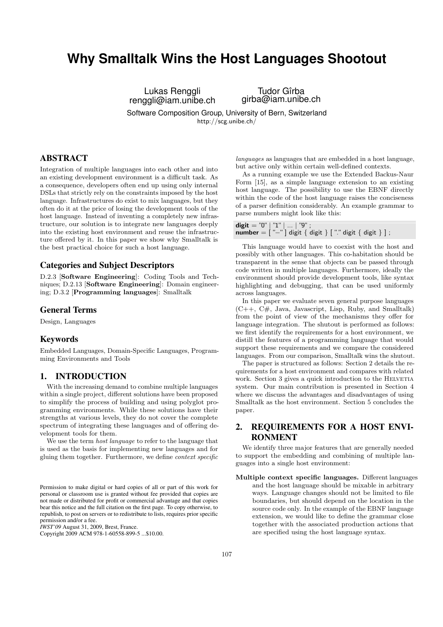# **Why Smalltalk Wins the Host Languages Shootout**

Lukas Renggli renggli@iam.unibe.ch

Tudor Gîrba girba@iam.unibe.ch

Software Composition Group, University of Bern, Switzerland <http://scg.unibe.ch/>

# ABSTRACT

Integration of multiple languages into each other and into an existing development environment is a difficult task. As a consequence, developers often end up using only internal DSLs that strictly rely on the constraints imposed by the host language. Infrastructures do exist to mix languages, but they often do it at the price of losing the development tools of the host language. Instead of inventing a completely new infrastructure, our solution is to integrate new languages deeply into the existing host environment and reuse the infrastructure offered by it. In this paper we show why Smalltalk is the best practical choice for such a host language.

## Categories and Subject Descriptors

D.2.3 [Software Engineering]: Coding Tools and Techniques; D.2.13 [Software Engineering]: Domain engineering; D.3.2 [Programming languages]: Smalltalk

## General Terms

Design, Languages

#### Keywords

Embedded Languages, Domain-Specific Languages, Programming Environments and Tools

### <span id="page-0-1"></span>1. INTRODUCTION

With the increasing demand to combine multiple languages within a single project, different solutions have been proposed to simplify the process of building and using polyglot programming environments. While these solutions have their strengths at various levels, they do not cover the complete spectrum of integrating these languages and of offering development tools for them.

We use the term host language to refer to the language that is used as the basis for implementing new languages and for gluing them together. Furthermore, we define context specific

*IWST'09* August 31, 2009, Brest, France.

Copyright 2009 ACM 978-1-60558-899-5 ...\$10.00.

languages as languages that are embedded in a host language, but active only within certain well-defined contexts.

As a running example we use the Extended Backus-Naur Form [\[15\]](#page-6-0), as a simple language extension to an existing host language. The possibility to use the EBNF directly within the code of the host language raises the conciseness of a parser definition considerably. An example grammar to parse numbers might look like this:

| digit = "0"   "1"      "9" ;                                                                                                 |  |  |  |
|------------------------------------------------------------------------------------------------------------------------------|--|--|--|
| $\mathsf{number} = [\mathsf{``-''}]$ digit $\{ \mathsf{ digit} \} [\mathsf{''} \mathsf{''}]$ digit $\{ \mathsf{ digit} \}$ ; |  |  |  |

This language would have to coexist with the host and possibly with other languages. This co-habitation should be transparent in the sense that objects can be passed through code written in multiple languages. Furthermore, ideally the environment should provide development tools, like syntax highlighting and debugging, that can be used uniformly across languages.

In this paper we evaluate seven general purpose languages  $(C++, C#,$  Java, Javascript, Lisp, Ruby, and Smalltalk) from the point of view of the mechanisms they offer for language integration. The shutout is performed as follows: we first identify the requirements for a host environment, we distill the features of a programming language that would support these requirements and we compare the considered languages. From our comparison, Smalltalk wins the shutout.

The paper is structured as follows: [Section 2](#page-0-0) details the requirements for a host environment and compares with related work. [Section 3](#page-1-0) gives a quick introduction to the HELVETIA system. Our main contribution is presented in [Section 4](#page-2-0) where we discuss the advantages and disadvantages of using Smalltalk as the host environment. [Section 5](#page-5-0) concludes the paper.

# <span id="page-0-0"></span>2. REQUIREMENTS FOR A HOST ENVI-RONMENT

We identify three major features that are generally needed to support the embedding and combining of multiple languages into a single host environment:

Multiple context specific languages. Different languages and the host language should be mixable in arbitrary ways. Language changes should not be limited to file boundaries, but should depend on the location in the source code only. In the example of the EBNF language extension, we would like to define the grammar close together with the associated production actions that are specified using the host language syntax.

Permission to make digital or hard copies of all or part of this work for personal or classroom use is granted without fee provided that copies are not made or distributed for profit or commercial advantage and that copies bear this notice and the full citation on the first page. To copy otherwise, to republish, to post on servers or to redistribute to lists, requires prior specific permission and/or a fee.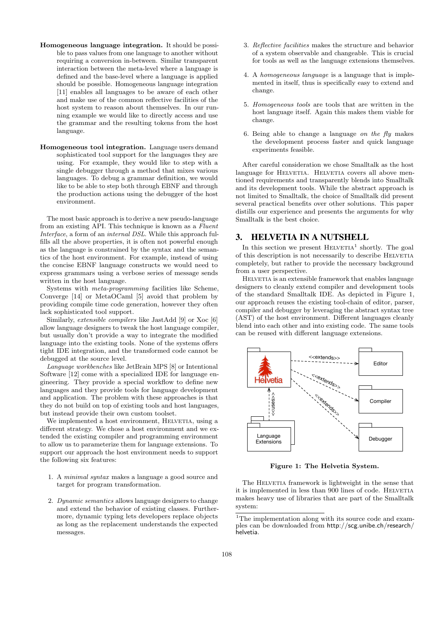- Homogeneous language integration. It should be possible to pass values from one language to another without requiring a conversion in-between. Similar transparent interaction between the meta-level where a language is defined and the base-level where a language is applied should be possible. Homogeneous language integration [\[11\]](#page-6-1) enables all languages to be aware of each other and make use of the common reflective facilities of the host system to reason about themselves. In our running example we would like to directly access and use the grammar and the resulting tokens from the host language.
- Homogeneous tool integration. Language users demand sophisticated tool support for the languages they are using. For example, they would like to step with a single debugger through a method that mixes various languages. To debug a grammar definition, we would like to be able to step both through EBNF and through the production actions using the debugger of the host environment.

The most basic approach is to derive a new pseudo-language from an existing API. This technique is known as a Fluent Interface, a form of an *internal DSL*. While this approach fulfills all the above properties, it is often not powerful enough as the language is constrained by the syntax and the semantics of the host environment. For example, instead of using the concise EBNF language constructs we would need to express grammars using a verbose series of message sends written in the host language.

Systems with meta-programming facilities like Scheme, Converge [\[14\]](#page-6-2) or MetaOCaml [\[5\]](#page-6-3) avoid that problem by providing compile time code generation, however they often lack sophisticated tool support.

Similarly, extensible compilers like JastAdd [\[9\]](#page-6-4) or Xoc [\[6\]](#page-6-5) allow language designers to tweak the host language compiler, but usually don't provide a way to integrate the modified language into the existing tools. None of the systems offers tight IDE integration, and the transformed code cannot be debugged at the source level.

Language workbenches like JetBrain MPS [\[8\]](#page-6-6) or Intentional Software [\[12\]](#page-6-7) come with a specialized IDE for language engineering. They provide a special workflow to define new languages and they provide tools for language development and application. The problem with these approaches is that they do not build on top of existing tools and host languages, but instead provide their own custom toolset.

We implemented a host environment, HELVETIA, using a different strategy. We chose a host environment and we extended the existing compiler and programming environment to allow us to parameterize them for language extensions. To support our approach the host environment needs to support the following six features:

- 1. A minimal syntax makes a language a good source and target for program transformation.
- 2. Dynamic semantics allows language designers to change and extend the behavior of existing classes. Furthermore, dynamic typing lets developers replace objects as long as the replacement understands the expected messages.
- 3. Reflective facilities makes the structure and behavior of a system observable and changeable. This is crucial for tools as well as the language extensions themselves.
- 4. A homogeneous language is a language that is implemented in itself, thus is specifically easy to extend and change.
- 5. Homogeneous tools are tools that are written in the host language itself. Again this makes them viable for change.
- 6. Being able to change a language on the  $fly$  makes the development process faster and quick language experiments feasible.

After careful consideration we chose Smalltalk as the host language for HELVETIA. HELVETIA covers all above mentioned requirements and transparently blends into Smalltalk and its development tools. While the abstract approach is not limited to Smalltalk, the choice of Smalltalk did present several practical benefits over other solutions. This paper distills our experience and presents the arguments for why Smalltalk is the best choice.

#### <span id="page-1-0"></span>3. HELVETIA IN A NUTSHELL

In this section we present  $HELVETIA<sup>1</sup>$  $HELVETIA<sup>1</sup>$  $HELVETIA<sup>1</sup>$  shortly. The goal of this description is not necessarily to describe HELVETIA completely, but rather to provide the necessary background from a user perspective.

HELVETIA is an extensible framework that enables language designers to cleanly extend compiler and development tools of the standard Smalltalk IDE. As depicted in [Figure 1,](#page-1-2) our approach reuses the existing tool-chain of editor, parser, compiler and debugger by leveraging the abstract syntax tree (AST) of the host environment. Different languages cleanly blend into each other and into existing code. The same tools can be reused with different language extensions.

<span id="page-1-2"></span>

Figure 1: The Helvetia System.

The HELVETIA framework is lightweight in the sense that it is implemented in less than 900 lines of code. HELVETIA makes heavy use of libraries that are part of the Smalltalk system:

<span id="page-1-1"></span><sup>&</sup>lt;sup>1</sup>The implementation along with its source code and examples can be downloaded from [http://scg.unibe.ch/research/](http://scg.unibe.ch/research/helvetia) [helvetia](http://scg.unibe.ch/research/helvetia).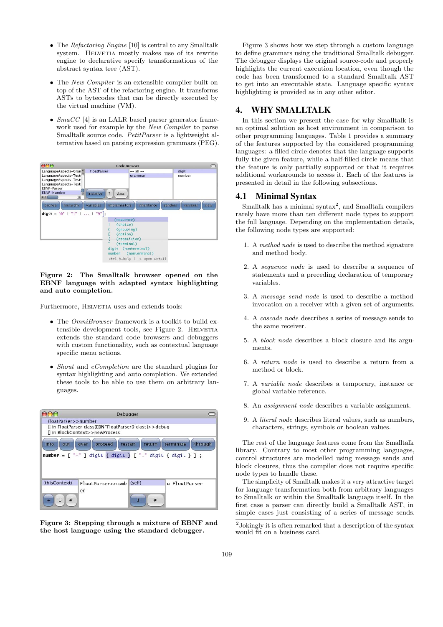- The Refactoring Engine [\[10\]](#page-6-8) is central to any Smalltalk system. HELVETIA mostly makes use of its rewrite engine to declarative specify transformations of the abstract syntax tree (AST).
- The New Compiler is an extensible compiler built on top of the AST of the refactoring engine. It transforms ASTs to bytecodes that can be directly executed by the virtual machine (VM).
- $SmaCC$  [\[4\]](#page-6-9) is an LALR based parser generator framework used for example by the New Compiler to parse Smalltalk source code. PetitParser is a lightweight alternative based on parsing expression grammars (PEG).

<span id="page-2-1"></span>

| 000                                                                                                                                         |                                                                                                      | Code Browser                                                         |                  |
|---------------------------------------------------------------------------------------------------------------------------------------------|------------------------------------------------------------------------------------------------------|----------------------------------------------------------------------|------------------|
| LanguageAspects-Gran<br>LanguageAspects-Test:<br>LanguageAspects-Test:<br>LanguageAspects-Test:<br><b>EBNF-Parser</b><br><b>EBNF-Number</b> | <b>FloatParser</b><br>class<br>instance                                                              | $--$ all $--$<br>grammar                                             | digit<br>number  |
| hierarchy<br>browse<br>digit = $"0" 1"1" 1 1$                                                                                               | variables<br><i>implementors</i><br>$"q"$ :<br>(sequence)<br>(choice)<br>(grouping)<br>(option)<br>× | <b>inheritance</b><br>senders<br>(repetition)                        | view<br>versions |
|                                                                                                                                             | (terminal)<br>number                                                                                 | digit (nonterminal)<br>(nonterminal)<br>ctrl-h=help   -> open detail |                  |

#### Figure 2: The Smalltalk browser opened on the EBNF language with adapted syntax highlighting and auto completion.

Furthermore, HELVETIA uses and extends tools:

- The *OmniBrowser* framework is a toolkit to build ex-tensible development tools, see [Figure 2.](#page-2-1) HELVETIA extends the standard code browsers and debuggers with custom functionality, such as contextual language specific menu actions.
- *Shout* and *eCompletion* are the standard plugins for syntax highlighting and auto completion. We extended these tools to be able to use them on arbitrary languages.

<span id="page-2-2"></span>

|                                                                                                                                           | Debugger                                                                                 |   |               |  |  |  |
|-------------------------------------------------------------------------------------------------------------------------------------------|------------------------------------------------------------------------------------------|---|---------------|--|--|--|
| FloatParser>>number                                                                                                                       |                                                                                          |   |               |  |  |  |
|                                                                                                                                           | [] in FloatParser class(EBNFFloatParser0 class)>>debug<br>[] in BlockContext>>newProcess |   |               |  |  |  |
| proceed<br>terminate<br>through<br>restart<br>return<br>into<br>over<br>OUT<br>number = [ "-" ] digit { digit } [ "." digit { digit } ] ; |                                                                                          |   |               |  |  |  |
| (thisContext)                                                                                                                             | FloatParser>>numb (self)                                                                 |   | a FloatParser |  |  |  |
|                                                                                                                                           | er                                                                                       |   |               |  |  |  |
| 1<br>#<br>÷                                                                                                                               |                                                                                          | # |               |  |  |  |

Figure 3: Stepping through a mixture of EBNF and the host language using the standard debugger.

[Figure 3](#page-2-2) shows how we step through a custom language to define grammars using the traditional Smalltalk debugger. The debugger displays the original source-code and properly highlights the current execution location, even though the code has been transformed to a standard Smalltalk AST to get into an executable state. Language specific syntax highlighting is provided as in any other editor.

# <span id="page-2-0"></span>4. WHY SMALLTALK

In this section we present the case for why Smalltalk is an optimal solution as host environment in comparison to other programming languages. [Table 1](#page-3-0) provides a summary of the features supported by the considered programming languages: a filled circle denotes that the language supports fully the given feature, while a half-filled circle means that the feature is only partially supported or that it requires additional workarounds to access it. Each of the features is presented in detail in the following subsections.

## <span id="page-2-4"></span>4.1 Minimal Syntax

Smalltalk has a minimal syntax<sup>[2](#page-2-3)</sup>, and Smalltalk compilers rarely have more than ten different node types to support the full language. Depending on the implementation details, the following node types are supported:

- 1. A method node is used to describe the method signature and method body.
- 2. A sequence node is used to describe a sequence of statements and a preceding declaration of temporary variables.
- 3. A message send node is used to describe a method invocation on a receiver with a given set of arguments.
- 4. A cascade node describes a series of message sends to the same receiver.
- 5. A block node describes a block closure and its arguments.
- 6. A return node is used to describe a return from a method or block.
- 7. A variable node describes a temporary, instance or global variable reference.
- 8. An assignment node describes a variable assignment.
- 9. A literal node describes literal values, such as numbers, characters, strings, symbols or boolean values.

The rest of the language features come from the Smalltalk library. Contrary to most other programming languages, control structures are modelled using message sends and block closures, thus the compiler does not require specific node types to handle these.

The simplicity of Smalltalk makes it a very attractive target for language transformation both from arbitrary languages to Smalltalk or within the Smalltalk language itself. In the first case a parser can directly build a Smalltalk AST, in simple cases just consisting of a series of message sends.

<span id="page-2-3"></span><sup>2</sup> Jokingly it is often remarked that a description of the syntax would fit on a business card.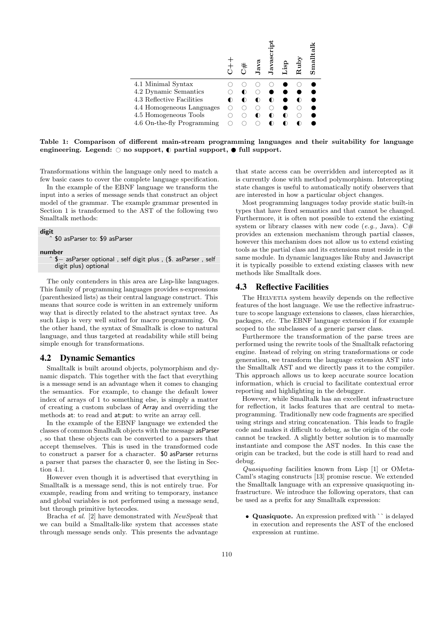<span id="page-3-0"></span>

|                            |  | ā | īā. | Ξ | $\mathop{\hbox{Smalli}}$ |
|----------------------------|--|---|-----|---|--------------------------|
| 4.1 Minimal Syntax         |  |   |     |   |                          |
| 4.2 Dynamic Semantics      |  |   |     |   |                          |
| 4.3 Reflective Facilities  |  |   |     |   |                          |
| 4.4 Homogeneous Languages  |  |   |     |   |                          |
| 4.5 Homogeneous Tools      |  |   |     |   |                          |
| 4.6 On-the-fly Programming |  |   |     |   |                          |

Table 1: Comparison of different main-stream programming languages and their suitability for language engineering. Legend:  $\bigcirc$  no support,  $\bigcirc$  partial support,  $\bigcirc$  full support.

Transformations within the language only need to match a few basic cases to cover the complete language specification.

In the example of the EBNF language we transform the input into a series of message sends that construct an object model of the grammar. The example grammar presented in [Section 1](#page-0-1) is transformed to the AST of the following two Smalltalk methods:

#### digit

\$0 asParser to: \$9 asParser

# number<br>-\$

− asParser optional , self digit plus , (\$. asParser , self digit plus) optional

The only contenders in this area are Lisp-like languages. This family of programming languages provides s-expressions (parenthesized lists) as their central language construct. This means that source code is written in an extremely uniform way that is directly related to the abstract syntax tree. As such Lisp is very well suited for macro programming. On the other hand, the syntax of Smalltalk is close to natural language, and thus targeted at readability while still being simple enough for transformations.

# <span id="page-3-1"></span>4.2 Dynamic Semantics

Smalltalk is built around objects, polymorphism and dynamic dispatch. This together with the fact that everything is a message send is an advantage when it comes to changing the semantics. For example, to change the default lower index of arrays of 1 to something else, is simply a matter of creating a custom subclass of Array and overriding the methods at: to read and at:put: to write an array cell.

In the example of the EBNF language we extended the classes of common Smalltalk objects with the message asParser , so that these objects can be converted to a parsers that accept themselves. This is used in the transformed code to construct a parser for a character. \$0 asParser returns a parser that parses the character 0, see the listing in [Sec](#page-2-4)[tion 4.1.](#page-2-4)

However even though it is advertised that everything in Smalltalk is a message send, this is not entirely true. For example, reading from and writing to temporary, instance and global variables is not performed using a message send, but through primitive bytecodes.

Bracha et al. [\[2\]](#page-6-10) have demonstrated with NewSpeak that we can build a Smalltalk-like system that accesses state through message sends only. This presents the advantage

that state access can be overridden and intercepted as it is currently done with method polymorphism. Intercepting state changes is useful to automatically notify observers that are interested in how a particular object changes.

Most programming languages today provide static built-in types that have fixed semantics and that cannot be changed. Furthermore, it is often not possible to extend the existing system or library classes with new code (e.g., Java).  $C#$ provides an extension mechanism through partial classes, however this mechanism does not allow us to extend existing tools as the partial class and its extensions must reside in the same module. In dynamic languages like Ruby and Javascript it is typically possible to extend existing classes with new methods like Smalltalk does.

#### <span id="page-3-2"></span>4.3 Reflective Facilities

The HELVETIA system heavily depends on the reflective features of the host language. We use the reflective infrastructure to scope language extensions to classes, class hierarchies, packages, etc. The EBNF language extension if for example scoped to the subclasses of a generic parser class.

Furthermore the transformation of the parse trees are performed using the rewrite tools of the Smalltalk refactoring engine. Instead of relying on string transformations or code generation, we transform the language extension AST into the Smalltalk AST and we directly pass it to the compiler. This approach allows us to keep accurate source location information, which is crucial to facilitate contextual error reporting and highlighting in the debugger.

However, while Smalltalk has an excellent infrastructure for reflection, it lacks features that are central to metaprogramming. Traditionally new code fragments are specified using strings and string concatenation. This leads to fragile code and makes it difficult to debug, as the origin of the code cannot be tracked. A slightly better solution is to manually instantiate and compose the AST nodes. In this case the origin can be tracked, but the code is still hard to read and debug.

Quasiquoting facilities known from Lisp [\[1\]](#page-6-11) or OMeta-Caml's staging constructs [\[13\]](#page-6-12) promise rescue. We extended the Smalltalk language with an expressive quasiquoting infrastructure. We introduce the following operators, that can be used as a prefix for any Smalltalk expression:

• Quasiquote. An expression prefixed with `` is delayed in execution and represents the AST of the enclosed expression at runtime.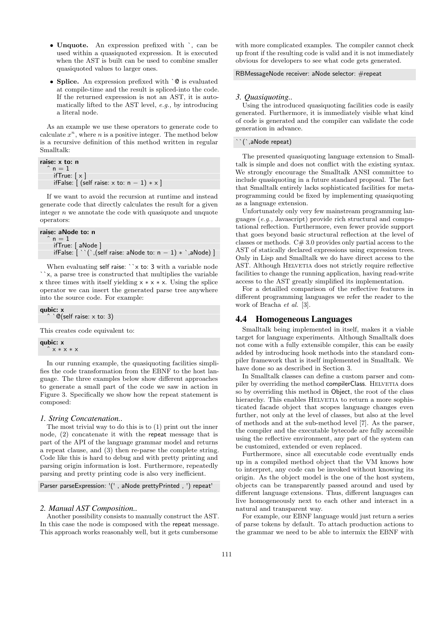- Unquote. An expression prefixed with `, can be used within a quasiquoted expression. It is executed when the AST is built can be used to combine smaller quasiquoted values to larger ones.
- Splice. An expression prefixed with  $\degree$  0 is evaluated at compile-time and the result is spliced-into the code. If the returned expression is not an AST, it is automatically lifted to the AST level, e.g., by introducing a literal node.

As an example we use these operators to generate code to calculate  $x^n$ , where *n* is a positive integer. The method below is a recursive definition of this method written in regular Smalltalk:

```
raise: x to: n
n = 1ifTrue: [x]ifFalse: [ (self raise: x to: n - 1) * x ]
```
If we want to avoid the recursion at runtime and instead generate code that directly calculates the result for a given integer  $n$  we annotate the code with quasiquote and unquote operators:

```
raise: aNode to: n
n = 1ifTrue: [ aNode ]
 ifFalse: [\cdot \cdot], (self raise: aNode to: n - 1) * `,aNode) ]
```
When evaluating self raise: ``x to: 3 with a variable node ``x, a parse tree is constructed that multiplies the variable x three times with itself yielding x ∗ x ∗ x. Using the splice operator we can insert the generated parse tree anywhere into the source code. For example:

qubic: x  $\mathbb{Q}$ (self raise: x to: 3)

This creates code equivalent to:

qubic: x ˆ x ∗ x ∗ x

In our running example, the quasiquoting facilities simplifies the code transformation from the EBNF to the host language. The three examples below show different approaches to generate a small part of the code we saw in action in [Figure 3.](#page-2-2) Specifically we show how the repeat statement is composed:

#### *1. String Concatenation..*

The most trivial way to do this is to (1) print out the inner node, (2) concatenate it with the repeat message that is part of the API of the language grammar model and returns a repeat clause, and (3) then re-parse the complete string. Code like this is hard to debug and with pretty printing and parsing origin information is lost. Furthermore, repeatedly parsing and pretty printing code is also very inefficient.

Parser parseExpression: '(' , aNode prettyPrinted , ') repeat'

## *2. Manual AST Composition..*

Another possibility consists to manually construct the AST. In this case the node is composed with the repeat message. This approach works reasonably well, but it gets cumbersome with more complicated examples. The compiler cannot check up front if the resulting code is valid and it is not immediately obvious for developers to see what code gets generated.

#### RBMessageNode receiver: aNode selector: #repeat

#### *3. Quasiquoting..*

Using the introduced quasiquoting facilities code is easily generated. Furthermore, it is immediately visible what kind of code is generated and the compiler can validate the code generation in advance.

#### `(`,aNode repeat)

The presented quasiquoting language extension to Smalltalk is simple and does not conflict with the existing syntax. We strongly encourage the Smalltalk ANSI committee to include quasiquoting in a future standard proposal. The fact that Smalltalk entirely lacks sophisticated facilities for metaprogramming could be fixed by implementing quasiquoting as a language extension.

Unfortunately only very few mainstream programming languages (e.g., Javascript) provide rich structural and computational reflection. Furthermore, even fewer provide support that goes beyond basic structural reflection at the level of classes or methods.  $C# 3.0$  provides only partial access to the AST of statically declared expressions using expression trees. Only in Lisp and Smalltalk we do have direct access to the AST. Although HELVETIA does not strictly require reflective facilities to change the running application, having read-write access to the AST greatly simplified its implementation.

For a detailled comparison of the reflective features in different programming languages we refer the reader to the work of Bracha et al. [\[3\]](#page-6-13).

## <span id="page-4-0"></span>4.4 Homogeneous Languages

Smalltalk being implemented in itself, makes it a viable target for language experiments. Although Smalltalk does not come with a fully extensible compiler, this can be easily added by introducing hook methods into the standard compiler framework that is itself implemented in Smalltalk. We have done so as described in [Section 3.](#page-1-0)

In Smalltalk classes can define a custom parser and compiler by overriding the method compilerClass. HELVETIA does so by overriding this method in Object, the root of the class hierarchy. This enables HELVETIA to return a more sophisticated facade object that scopes language changes even further, not only at the level of classes, but also at the level of methods and at the sub-method level [\[7\]](#page-6-14). As the parser, the compiler and the executable bytecode are fully accessible using the reflective environment, any part of the system can be customized, extended or even replaced.

Furthermore, since all executable code eventually ends up in a compiled method object that the VM knows how to interpret, any code can be invoked without knowing its origin. As the object model is the one of the host system, objects can be transparently passed around and used by different language extensions. Thus, different languages can live homogeneously next to each other and interact in a natural and transparent way.

For example, our EBNF language would just return a series of parse tokens by default. To attach production actions to the grammar we need to be able to intermix the EBNF with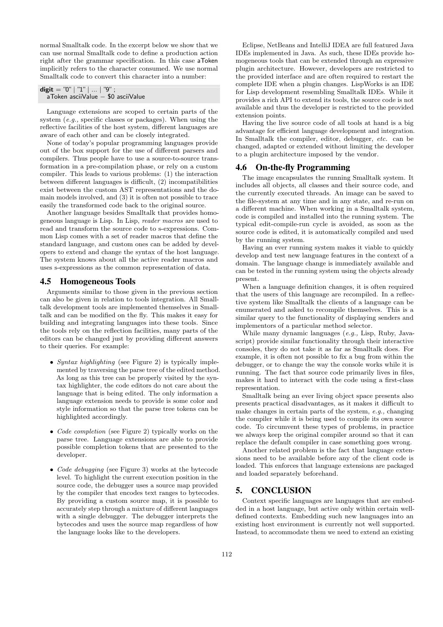normal Smalltalk code. In the excerpt below we show that we can use normal Smalltalk code to define a production action right after the grammar specification. In this case aToken implicitly refers to the character consumed. We use normal Smalltalk code to convert this character into a number:

| digit = "0"   "1"      "9" ; |  |                                    |
|------------------------------|--|------------------------------------|
|                              |  | aToken asciiValue - \$0 asciiValue |

Language extensions are scoped to certain parts of the system (e.g., specific classes or packages). When using the reflective facilities of the host system, different languages are aware of each other and can be closely integrated.

None of today's popular programming languages provide out of the box support for the use of different parsers and compilers. Thus people have to use a source-to-source transformation in a pre-compilation phase, or rely on a custom compiler. This leads to various problems: (1) the interaction between different languages is difficult, (2) incompatibilities exist between the custom AST representations and the domain models involved, and (3) it is often not possible to trace easily the transformed code back to the original source.

Another language besides Smalltalk that provides homogeneous language is Lisp. In Lisp, reader macros are used to read and transform the source code to s-expressions. Common Lisp comes with a set of reader macros that define the standard language, and custom ones can be added by developers to extend and change the syntax of the host language. The system knows about all the active reader macros and uses s-expressions as the common representation of data.

#### <span id="page-5-1"></span>4.5 Homogeneous Tools

Arguments similar to those given in the previous section can also be given in relation to tools integration. All Smalltalk development tools are implemented themselves in Smalltalk and can be modified on the fly. This makes it easy for building and integrating languages into these tools. Since the tools rely on the reflection facilities, many parts of the editors can be changed just by providing different answers to their queries. For example:

- Syntax highlighting (see [Figure 2\)](#page-2-1) is typically implemented by traversing the parse tree of the edited method. As long as this tree can be properly visited by the syntax highlighter, the code editors do not care about the language that is being edited. The only information a language extension needs to provide is some color and style information so that the parse tree tokens can be highlighted accordingly.
- *Code completion* (see [Figure 2\)](#page-2-1) typically works on the parse tree. Language extensions are able to provide possible completion tokens that are presented to the developer.
- Code debugging (see [Figure 3\)](#page-2-2) works at the bytecode level. To highlight the current execution position in the source code, the debugger uses a source map provided by the compiler that encodes text ranges to bytecodes. By providing a custom source map, it is possible to accurately step through a mixture of different languages with a single debugger. The debugger interprets the bytecodes and uses the source map regardless of how the language looks like to the developers.

Eclipse, NetBeans and IntelliJ IDEA are full featured Java IDEs implemented in Java. As such, these IDEs provide homogeneous tools that can be extended through an expressive plugin architecture. However, developers are restricted to the provided interface and are often required to restart the complete IDE when a plugin changes. LispWorks is an IDE for Lisp development resembling Smalltalk IDEs. While it provides a rich API to extend its tools, the source code is not available and thus the developer is restricted to the provided extension points.

Having the live source code of all tools at hand is a big advantage for efficient language development and integration. In Smalltalk the compiler, editor, debugger, etc. can be changed, adapted or extended without limiting the developer to a plugin architecture imposed by the vendor.

## <span id="page-5-2"></span>4.6 On-the-fly Programming

The image encapsulates the running Smalltalk system. It includes all objects, all classes and their source code, and the currently executed threads. An image can be saved to the file-system at any time and in any state, and re-run on a different machine. When working in a Smalltalk system, code is compiled and installed into the running system. The typical edit-compile-run cycle is avoided, as soon as the source code is edited, it is automatically compiled and used by the running system.

Having an ever running system makes it viable to quickly develop and test new language features in the context of a domain. The language change is immediately available and can be tested in the running system using the objects already present.

When a language definition changes, it is often required that the users of this language are recompiled. In a reflective system like Smalltalk the clients of a language can be enumerated and asked to recompile themselves. This is a similar query to the functionality of displaying senders and implementors of a particular method selector.

While many dynamic languages (e.g., Lisp, Ruby, Javascript) provide similar functionality through their interactive consoles, they do not take it as far as Smalltalk does. For example, it is often not possible to fix a bug from within the debugger, or to change the way the console works while it is running. The fact that source code primarily lives in files, makes it hard to interact with the code using a first-class representation.

Smalltalk being an ever living object space presents also presents practical disadvantages, as it makes it difficult to make changes in certain parts of the system, e.g., changing the compiler while it is being used to compile its own source code. To circumvent these types of problems, in practice we always keep the original compiler around so that it can replace the default compiler in case something goes wrong.

Another related problem is the fact that language extensions need to be available before any of the client code is loaded. This enforces that language extensions are packaged and loaded separately beforehand.

## <span id="page-5-0"></span>5. CONCLUSION

Context specific languages are languages that are embedded in a host language, but active only within certain welldefined contexts. Embedding such new languages into an existing host environment is currently not well supported. Instead, to accommodate them we need to extend an existing